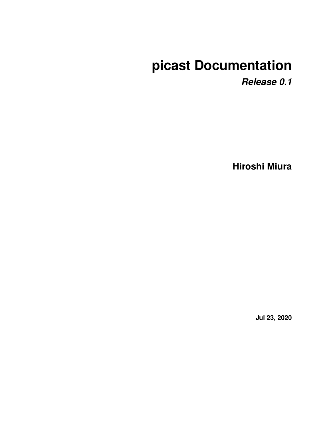# **picast Documentation**

*Release 0.1*

**Hiroshi Miura**

**Jul 23, 2020**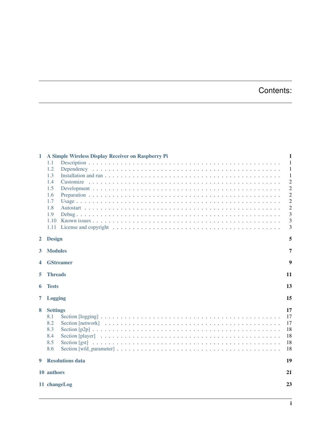## Contents:

| 1              | A Simple Wireless Display Receiver on Raspberry Pi        | 1                                      |  |  |
|----------------|-----------------------------------------------------------|----------------------------------------|--|--|
|                | 1.1                                                       | 1                                      |  |  |
|                | 1.2                                                       | $\mathbf{1}$                           |  |  |
|                | 1.3                                                       | 1                                      |  |  |
|                | 1.4                                                       | $\overline{c}$                         |  |  |
|                | 1.5                                                       | $\overline{c}$                         |  |  |
|                | 1.6                                                       | $\overline{c}$                         |  |  |
|                | 1.7                                                       | $\overline{c}$                         |  |  |
|                | 1.8                                                       | $\overline{c}$                         |  |  |
|                | 1.9                                                       | 3                                      |  |  |
|                | 1.10                                                      | 3                                      |  |  |
|                | 1.11                                                      | 3                                      |  |  |
| $\overline{2}$ | <b>Design</b>                                             | 5                                      |  |  |
| 3              | <b>Modules</b><br>7                                       |                                        |  |  |
| 4              | 9<br><b>GStreamer</b>                                     |                                        |  |  |
| 5              | <b>Threads</b><br>11                                      |                                        |  |  |
| 6              | 13<br><b>Tests</b>                                        |                                        |  |  |
| 7              | <b>Logging</b>                                            |                                        |  |  |
| 8              | <b>Settings</b><br>8.1<br>8.2<br>8.3<br>8.4<br>8.5<br>8.6 | 17<br>17<br>17<br>18<br>18<br>18<br>18 |  |  |
| 9              | <b>Resolutions data</b>                                   | 19                                     |  |  |
|                | 10 authors                                                |                                        |  |  |
|                | 11 changeLog                                              |                                        |  |  |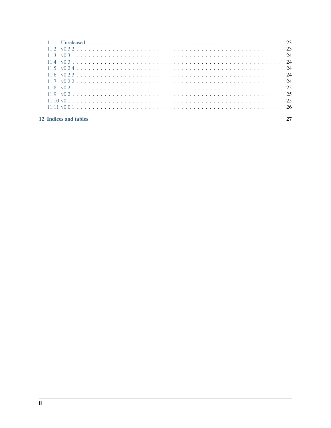| 11.2 $v0.3.2 23$                                                                                                                                                                                                                                                       |  |
|------------------------------------------------------------------------------------------------------------------------------------------------------------------------------------------------------------------------------------------------------------------------|--|
| 11.3 $v0.3.1 24$                                                                                                                                                                                                                                                       |  |
|                                                                                                                                                                                                                                                                        |  |
| 11.5 $v0.2.4 24$                                                                                                                                                                                                                                                       |  |
| 11.6 $v0.2.3 24$                                                                                                                                                                                                                                                       |  |
|                                                                                                                                                                                                                                                                        |  |
| 11.8 $v0.2.1$ 25                                                                                                                                                                                                                                                       |  |
|                                                                                                                                                                                                                                                                        |  |
|                                                                                                                                                                                                                                                                        |  |
| $11.11 \text{ v}0.0.1 \text{ .} \ldots \text{ .} \ldots \text{ .} \ldots \text{ .} \ldots \text{ .} \ldots \text{ .} \ldots \text{ .} \ldots \text{ .} \ldots \text{ .} \ldots \text{ .} \ldots \text{ .} \ldots \text{ .} \ldots \text{ .} \ldots \text{ .} \quad 26$ |  |
|                                                                                                                                                                                                                                                                        |  |
| 12 Indices and tables                                                                                                                                                                                                                                                  |  |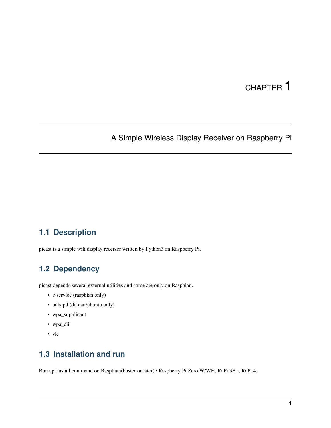## CHAPTER<sup>1</sup>

## <span id="page-4-0"></span>A Simple Wireless Display Receiver on Raspberry Pi

#### <span id="page-4-1"></span>**1.1 Description**

picast is a simple wifi display receiver written by Python3 on Raspberry Pi.

#### <span id="page-4-2"></span>**1.2 Dependency**

picast depends several external utilities and some are only on Raspbian.

- tvservice (raspbian only)
- udhcpd (debian/ubuntu only)
- wpa\_supplicant
- wpa\_cli
- vlc

#### <span id="page-4-3"></span>**1.3 Installation and run**

Run apt install command on Raspbian(buster or later) / Raspberry Pi Zero W/WH, RaPi 3B+, RaPi 4.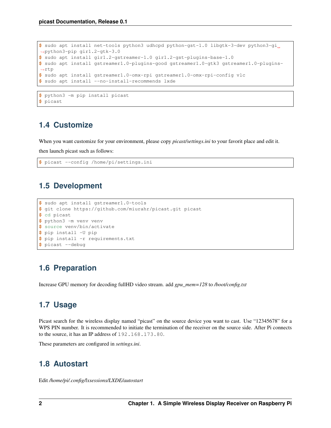```
$ sudo apt install net-tools python3 udhcpd python-gst-1.0 libgtk-3-dev python3-gi
˓→python3-pip gir1.2-gtk-3.0
$ sudo apt install gir1.2-gstreamer-1.0 gir1.2-gst-plugins-base-1.0
$ sudo apt install gstreamer1.0-plugins-good gstreamer1.0-gtk3 gstreamer1.0-plugins-
˓→rtp
$ sudo apt install gstreamer1.0-omx-rpi gstreamer1.0-omx-rpi-config vlc
$ sudo apt install --no-install-recommends lxde
```

```
$ python3 -m pip install picast
$ picast
```
#### <span id="page-5-0"></span>**1.4 Customize**

When you want customize for your environment, please copy *picast/settings.ini* to your favorit place and edit it.

then launch picast such as follows:

```
$ picast --config /home/pi/settings.ini
```
#### <span id="page-5-1"></span>**1.5 Development**

```
$ sudo apt install gstreamer1.0-tools
$ git clone https://github.com/miurahr/picast.git picast
$ cd picast
$ python3 -m venv venv
$ source venv/bin/activate
$ pip install -U pip
$ pip install -r requirements.txt
$ picast --debug
```
#### <span id="page-5-2"></span>**1.6 Preparation**

Increase GPU memory for decoding fullHD video stream. add *gpu\_mem=128* to */boot/config.txt*

### <span id="page-5-3"></span>**1.7 Usage**

Picast search for the wireless display named "picast" on the source device you want to cast. Use "12345678" for a WPS PIN number. It is recommended to initiate the termination of the receiver on the source side. After Pi connects to the source, it has an IP address of 192.168.173.80.

These parameters are configured in *settings.ini*.

#### <span id="page-5-4"></span>**1.8 Autostart**

Edit */home/pi/.config/lxsessions/LXDE/autostart*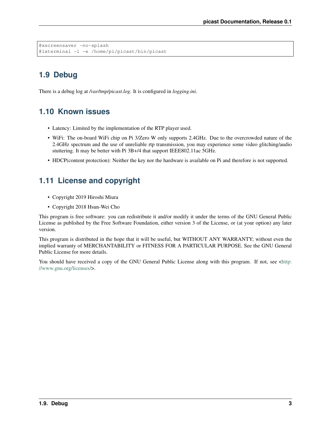```
@xscreensaver -no-splash
@lxterminal -l -e /home/pi/picast/bin/picast
```
## <span id="page-6-0"></span>**1.9 Debug**

There is a debug log at */var/tmp/picast.log*. It is configured in *logging.ini*.

### <span id="page-6-1"></span>**1.10 Known issues**

- Latency: Limited by the implementation of the RTP player used.
- WiFi: The on-board WiFi chip on Pi 3/Zero W only supports 2.4GHz. Due to the overcrowded nature of the 2.4GHz spectrum and the use of unreliable rtp transmission, you may experience some video glitching/audio stuttering. It may be better with Pi 3B+/4 that support IEEE802.11ac 5GHz.
- HDCP(content protection): Neither the key nor the hardware is available on Pi and therefore is not supported.

#### <span id="page-6-2"></span>**1.11 License and copyright**

- Copyright 2019 Hiroshi Miura
- Copyright 2018 Hsun-Wei Cho

This program is free software: you can redistribute it and/or modify it under the terms of the GNU General Public License as published by the Free Software Foundation, either version 3 of the License, or (at your option) any later version.

This program is distributed in the hope that it will be useful, but WITHOUT ANY WARRANTY; without even the implied warranty of MERCHANTABILITY or FITNESS FOR A PARTICULAR PURPOSE. See the GNU General Public License for more details.

You should have received a copy of the GNU General Public License along with this program. If not, see [<http:](http://www.gnu.org/licenses/) [//www.gnu.org/licenses/>](http://www.gnu.org/licenses/).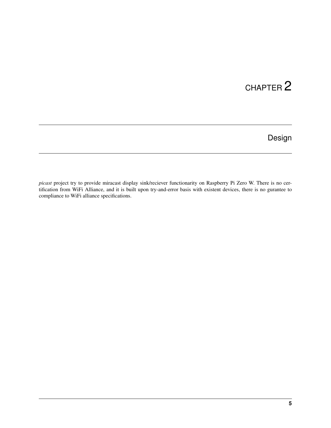Design

<span id="page-8-0"></span>*picast* project try to provide miracast display sink/reciever functionarity on Raspberry Pi Zero W. There is no certification from WiFi Alliance, and it is built upon try-and-error basis with existent devices, there is no gurantee to compliance to WiFi alliance specifications.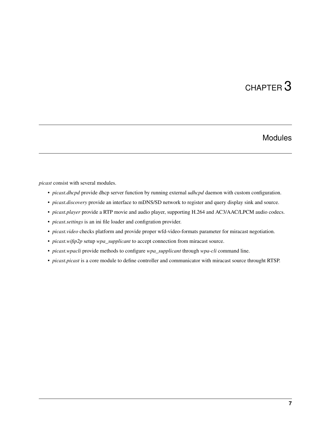### Modules

<span id="page-10-0"></span>*picast* consist with several modules.

- *picast.dhcpd* provide dhcp server function by running external *udhcpd* daemon with custom configuration.
- *picast.discovery* provide an interface to mDNS/SD network to register and query display sink and source.
- *picast.player* provide a RTP movie and audio player, supporting H.264 and AC3/AAC/LPCM audio codecs.
- *picast.settings* is an ini file loader and configration provider.
- *picast.video* checks platform and provide proper wfd-video-formats parameter for miracast negotiation.
- *picast.wifip2p* setup *wpa\_supplicant* to accept connection from miracast source.
- *picast.wpacli* provide methods to configure *wpa\_supplicant* through *wpa-cli* command line.
- *picast.picast* is a core module to define controller and communicator with miracast source throught RTSP.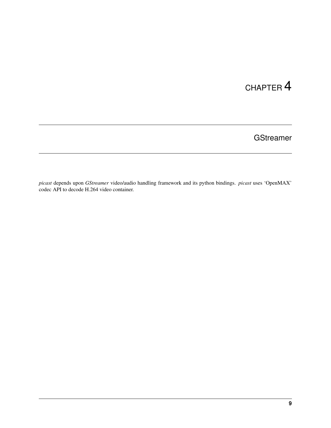## **GStreamer**

<span id="page-12-0"></span>*picast* depends upon *GStreamer* video/audio handling framework and its python bindings. *picast* uses 'OpenMAX' codec API to decode H.264 video container.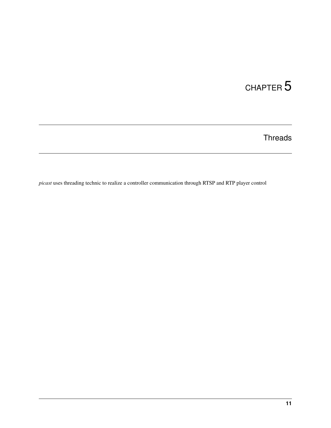**Threads** 

<span id="page-14-0"></span>*picast* uses threading technic to realize a controller communication through RTSP and RTP player control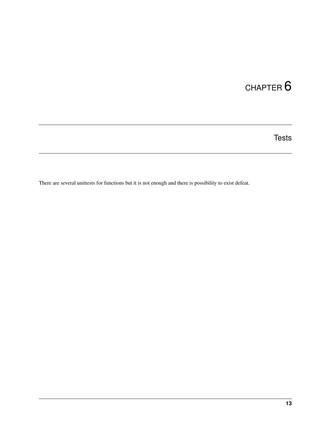**Tests** 

<span id="page-16-0"></span>There are several unittests for functions but it is not enough and there is possibility to exist defeat.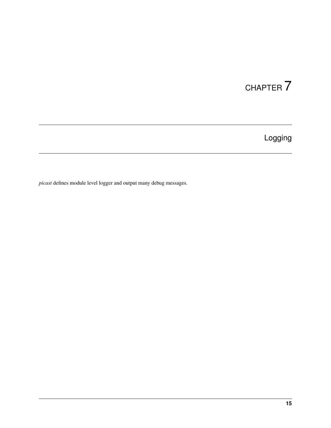Logging

<span id="page-18-0"></span>*picast* defines module level logger and output many debug messages.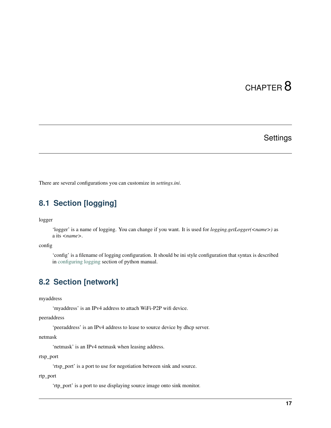## **Settings**

<span id="page-20-0"></span>There are several configurations you can customize in *settings.ini*.

### <span id="page-20-1"></span>**8.1 Section [logging]**

logger

'logger' is a name of logging. You can change if you want. It is used for *logging.getLogger(<name>)* as a its *<name>*.

config

'config' is a filename of logging configuration. It should be ini style configuration that syntax is described in [configuring logging](https://docs.python.org/3.8/howto/logging.html#configuring-logging) section of python manual.

#### <span id="page-20-2"></span>**8.2 Section [network]**

myaddress

'myaddress' is an IPv4 address to attach WiFi-P2P wifi device.

peeraddress

'peeraddress' is an IPv4 address to lease to source device by dhcp server.

netmask

'netmask' is an IPv4 netmask when leasing address.

rtsp\_port

'rtsp\_port' is a port to use for negotiation between sink and source.

#### rtp\_port

'rtp\_port' is a port to use displaying source image onto sink monitor.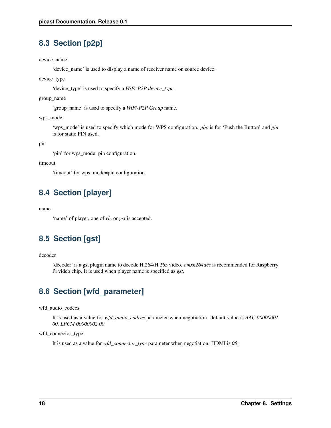## <span id="page-21-0"></span>**8.3 Section [p2p]**

device\_name

'device\_name' is used to display a name of receiver name on source device.

device\_type

'device\_type' is used to specify a *WiFi-P2P device\_type*.

group\_name

'group\_name' is used to specify a *WiFi-P2P Group* name.

wps\_mode

'wps\_mode' is used to specify which mode for WPS configuration. *pbc* is for 'Push the Button' and *pin* is for static PIN used.

pin

'pin' for wps\_mode=pin configuration.

timeout

'timeout' for wps\_mode=pin configuration.

## <span id="page-21-1"></span>**8.4 Section [player]**

name

'name' of player, one of *vlc* or *gst* is accepted.

## <span id="page-21-2"></span>**8.5 Section [gst]**

decoder

'decoder' is a gst plugin name to decode H.264/H.265 video. *omxh264dec* is recommended for Raspberry Pi video chip. It is used when player name is specified as *gst*.

## <span id="page-21-3"></span>**8.6 Section [wfd\_parameter]**

wfd\_audio\_codecs

It is used as a value for *wfd\_audio\_codecs* parameter when negotiation. default value is *AAC 00000001 00, LPCM 00000002 00*

wfd\_connector\_type

It is used as a value for *wfd\_connector\_type* parameter when negotiation. HDMI is *05*.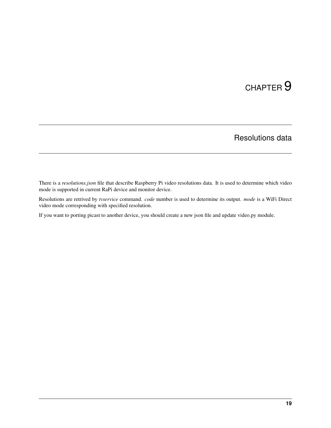## Resolutions data

<span id="page-22-0"></span>There is a *resolutions.json* file that describe Raspberry Pi video resolutions data. It is used to determine which video mode is supported in current RaPi device and monitor device.

Resolutions are retrived by *tvservice* command. *code* number is used to determine its output. *mode* is a WiFi Direct video mode corresponding with specified resolution.

If you want to porting picast to another device, you should create a new json file and update video.py module.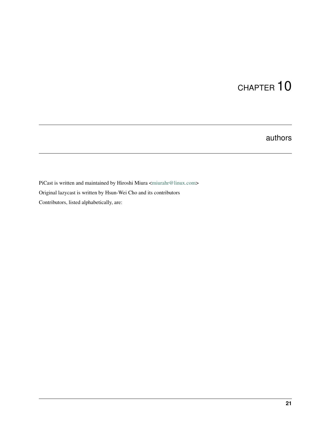## authors

<span id="page-24-0"></span>PiCast is written and maintained by Hiroshi Miura [<miurahr@linux.com>](mailto:miurahr@linux.com) Original lazycast is written by Hsun-Wei Cho and its contributors Contributors, listed alphabetically, are: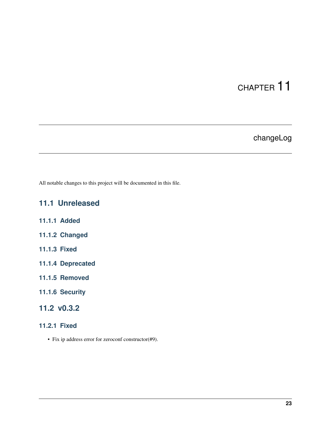## changeLog

<span id="page-26-0"></span>All notable changes to this project will be documented in this file.

## <span id="page-26-1"></span>**11.1 Unreleased**

- **11.1.1 Added**
- **11.1.2 Changed**
- **11.1.3 Fixed**
- **11.1.4 Deprecated**
- **11.1.5 Removed**
- **11.1.6 Security**

### <span id="page-26-2"></span>**11.2 v0.3.2**

- **11.2.1 Fixed**
	- Fix ip address error for zeroconf constructor(#9).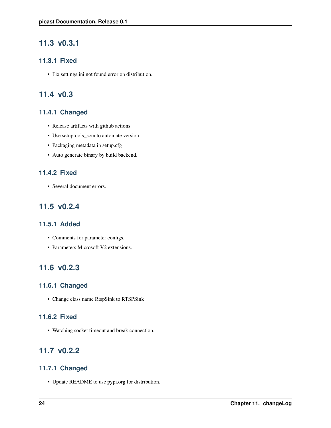### <span id="page-27-0"></span>**11.3 v0.3.1**

#### **11.3.1 Fixed**

• Fix settings.ini not found error on distribution.

#### <span id="page-27-1"></span>**11.4 v0.3**

#### **11.4.1 Changed**

- Release artifacts with github actions.
- Use setuptools\_scm to automate version.
- Packaging metadata in setup.cfg
- Auto generate binary by build backend.

#### **11.4.2 Fixed**

• Several document errors.

#### <span id="page-27-2"></span>**11.5 v0.2.4**

#### **11.5.1 Added**

- Comments for parameter configs.
- Parameters Microsoft V2 extensions.

#### <span id="page-27-3"></span>**11.6 v0.2.3**

#### **11.6.1 Changed**

• Change class name RtspSink to RTSPSink

#### **11.6.2 Fixed**

• Watching socket timeout and break connection.

#### <span id="page-27-4"></span>**11.7 v0.2.2**

#### **11.7.1 Changed**

• Update README to use pypi.org for distribution.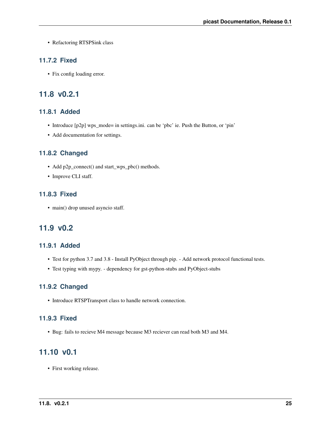• Refactoring RTSPSink class

#### **11.7.2 Fixed**

• Fix config loading error.

#### <span id="page-28-0"></span>**11.8 v0.2.1**

#### **11.8.1 Added**

- Introduce [p2p] wps\_mode= in settings.ini. can be 'pbc' ie. Push the Button, or 'pin'
- Add documentation for settings.

#### **11.8.2 Changed**

- Add p2p\_connect() and start\_wps\_pbc() methods.
- Improve CLI staff.

#### **11.8.3 Fixed**

• main() drop unused asyncio staff.

#### <span id="page-28-1"></span>**11.9 v0.2**

#### **11.9.1 Added**

- Test for python 3.7 and 3.8 Install PyObject through pip. Add network protocol functional tests.
- Test typing with mypy. dependency for gst-python-stubs and PyObject-stubs

#### **11.9.2 Changed**

• Introduce RTSPTransport class to handle network connection.

#### **11.9.3 Fixed**

• Bug: fails to recieve M4 message because M3 reciever can read both M3 and M4.

#### <span id="page-28-2"></span>**11.10 v0.1**

• First working release.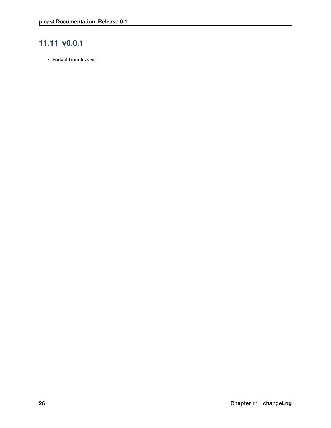## <span id="page-29-0"></span>**11.11 v0.0.1**

• Forked from lazycast.